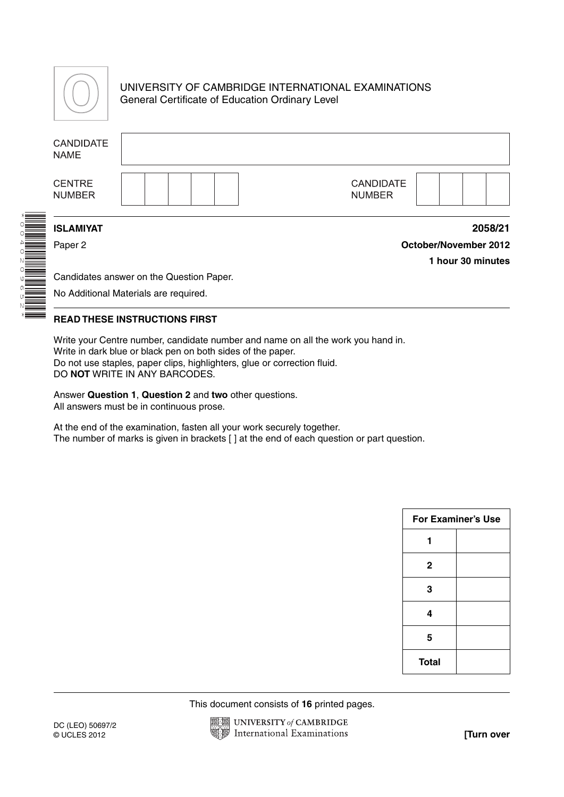

\*0040209652\*

UNIVERSITY OF CAMBRIDGE INTERNATIONAL EXAMINATIONS General Certificate of Education Ordinary Level

|                                                                                                                       | <b>CANDIDATE</b><br><b>NAME</b>          |                                       |                                   |                       |  |
|-----------------------------------------------------------------------------------------------------------------------|------------------------------------------|---------------------------------------|-----------------------------------|-----------------------|--|
|                                                                                                                       | <b>CENTRE</b><br><b>NUMBER</b>           |                                       | <b>CANDIDATE</b><br><b>NUMBER</b> |                       |  |
| <b>EN ANGELIA EN ENERGIA EN ENERGIA EN ENERGIA EN EL ENERGIA EN EL ENERGIA EN EL ENERGIA EN EL ENERGIA EN EL ENER</b> | <b>ISLAMIYAT</b>                         |                                       |                                   | 2058/21               |  |
|                                                                                                                       | Paper 2                                  |                                       |                                   | October/November 2012 |  |
|                                                                                                                       |                                          |                                       |                                   | 1 hour 30 minutes     |  |
|                                                                                                                       | Candidates answer on the Question Paper. |                                       |                                   |                       |  |
|                                                                                                                       |                                          | No Additional Materials are required. |                                   |                       |  |

## **READ THESE INSTRUCTIONS FIRST**

Write your Centre number, candidate number and name on all the work you hand in. Write in dark blue or black pen on both sides of the paper. Do not use staples, paper clips, highlighters, glue or correction fluid. DO **NOT** WRITE IN ANY BARCODES.

Answer **Question 1**, **Question 2** and **two** other questions. All answers must be in continuous prose.

At the end of the examination, fasten all your work securely together. The number of marks is given in brackets [ ] at the end of each question or part question.

| <b>For Examiner's Use</b> |  |  |
|---------------------------|--|--|
|                           |  |  |
| 2                         |  |  |
| 3                         |  |  |
| 4                         |  |  |
| 5                         |  |  |
| <b>Total</b>              |  |  |

This document consists of **16** printed pages.

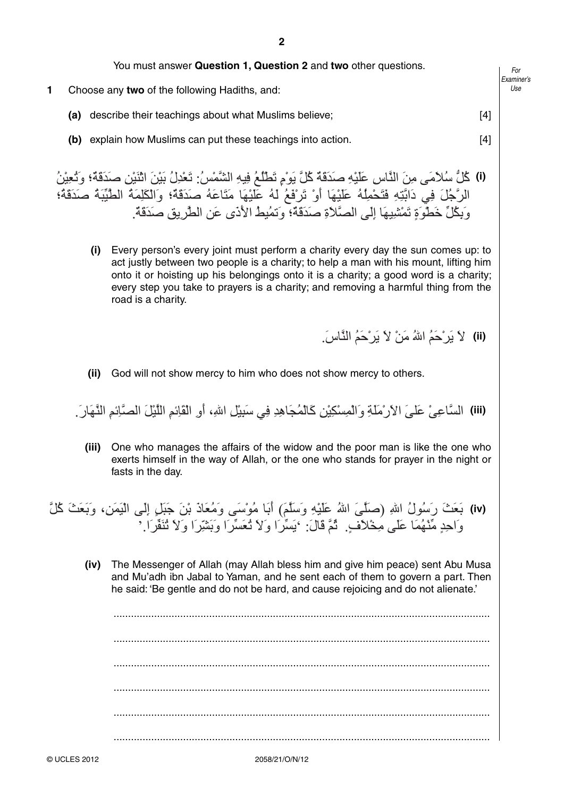You must answer **Question 1, Question 2** and **two** other questions.

- **1** Choose any **two** of the following Hadiths, and:
	- **(a)** describe their teachings about what Muslims believe; [4]
	- **(b)** explain how Muslims can put these teachings into action. [4]

(i) كُلَّ سُلامَى مِنَ النَّاسِ عَلَيْهِ صَدَقَةٌ كُلَّ يَوْمٍ تَطْلُعُ فِيهِ الشَّمْسُ: تَعْدِلُ بَيْنَ اثنَيْنِ صَدَقَةٌ؛ وتُعِيْنُ الرَّجُلَ فِي دَابَّتِهِ فَتَحْمِلْهُ عَلَيْهَا أَوْ تَرْفَعُ لَهُ عَلَيْهَا مَثَاعَهُ صَدَقَةٌ؛ وَالْكَلِمَةُ الطَّيِّبَةُ صَدَقَةٌ؛ وَ بِكُلِّ خَطُوَة تَمْشْدِهَا إِلَي الصَّلاَةِ صَدَقَةٌ؛ وتَمُبِطُ الأَدْيِ عَنِ الطَّرِيقِ صَدَقَةٌ

- **(i)** Every person's every joint must perform a charity every day the sun comes up: to act justly between two people is a charity; to help a man with his mount, lifting him onto it or hoisting up his belongings onto it is a charity; a good word is a charity; every step you take to prayers is a charity; and removing a harmful thing from the road is a charity.
	- نَا) لاَ بَرِ حَجُّ اللهُ مَنْ لاَ بَر**ْحَجُ النَّ**اسَ
- **(ii)** God will not show mercy to him who does not show mercy to others.

(iii) الْسَّاعِيُّ عَلَى الأرْمْلَة وَ الْمِسْكِنْنِ كَالْمُحَاهِدِ في سَبِيْلِ اللهِ، أو الْقَائِمِ الْلَّلْ الصَّائِمِ النَّهَارَ

 **(iii)** One who manages the affairs of the widow and the poor man is like the one who exerts himself in the way of Allah, or the one who stands for prayer in the night or fasts in the day.

iv) بَعَثَ رَسُولُ اللهِ (صَلَّـىَ اللهُ عَلَيْهِ وَسَلَّمَ) أَبَا مُوْسَـى وَمُعَاذَ بْنَ جَبَلِ إِلَـى الْيَمَن، وَبَعَثَ كُلَّ وَ احد مِّنْهُمَا عَلَى مُخْلاَف ۖ نُمَّ قَالَ ٰ 'بَسِّرْ َا وَلاَ نُعَسِّرَ ا وَيَثْبَرْ ا وَلاَ نُنَفِّرَ ا '

 **(iv)** The Messenger of Allah (may Allah bless him and give him peace) sent Abu Musa and Mu'adh ibn Jabal to Yaman, and he sent each of them to govern a part. Then he said: 'Be gentle and do not be hard, and cause rejoicing and do not alienate.'

 .................................................................................................................................. .................................................................................................................................. .................................................................................................................................. .................................................................................................................................. .................................................................................................................................. ..................................................................................................................................

*For Examiner's Use*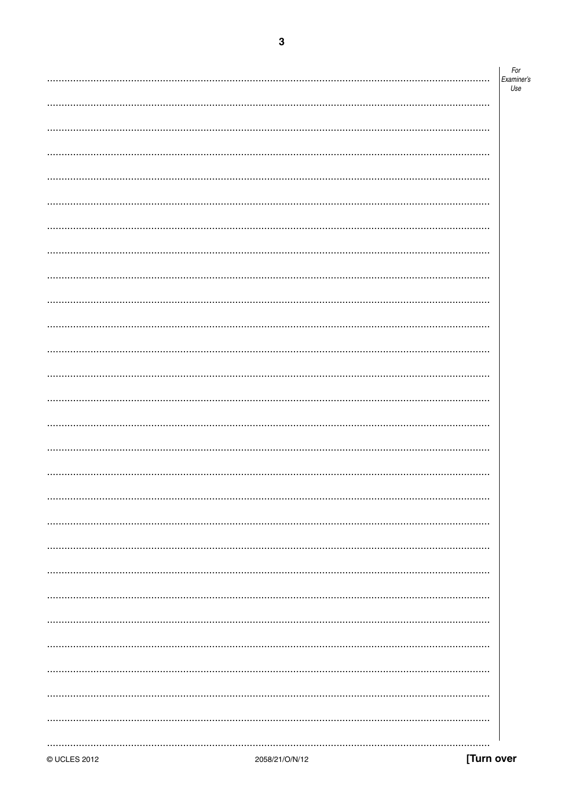| For        |
|------------|
| Examiner's |
| Use        |

 $\mathbf{3}$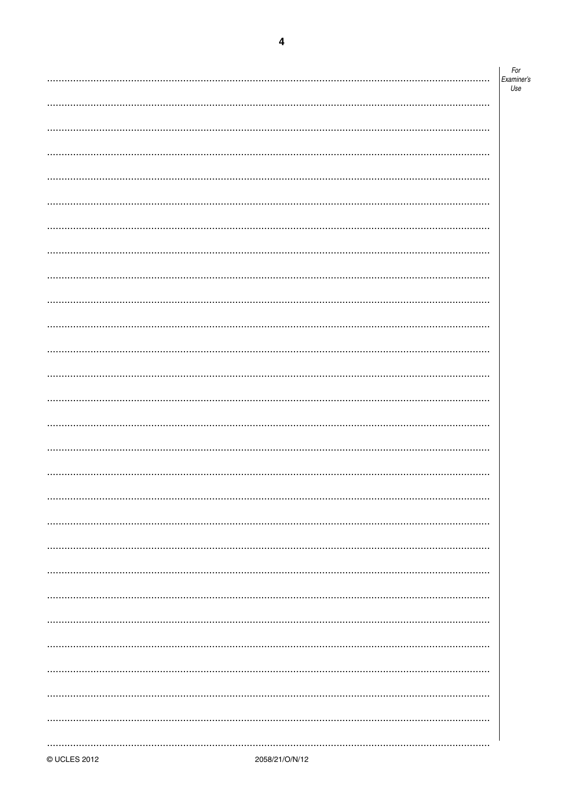| For        |  |
|------------|--|
| Examiner's |  |
| Use        |  |

| . |
|---|
|   |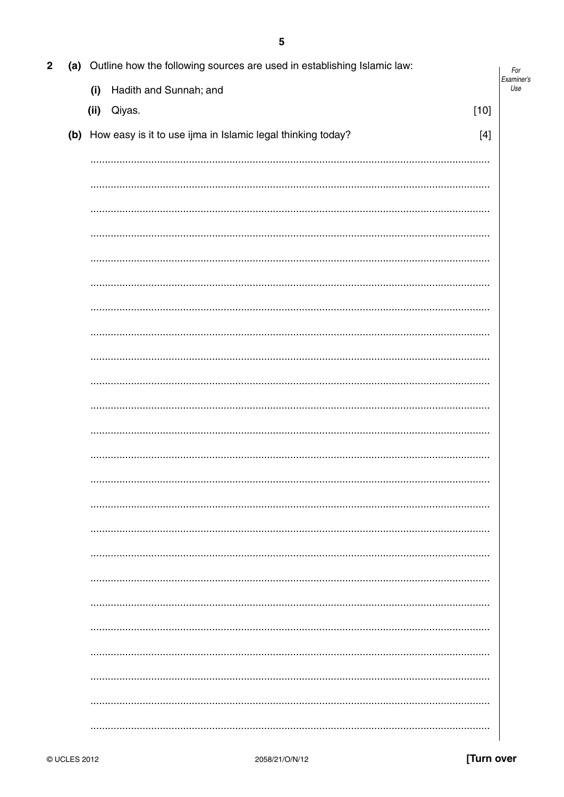| (a) Outline how the following sources are used in establishing Islamic law: |                                                                          |
|-----------------------------------------------------------------------------|--------------------------------------------------------------------------|
| (i)                                                                         | Hadith and Sunnah; and                                                   |
| (i)                                                                         | Qiyas.<br>$[10]$                                                         |
|                                                                             | (b) How easy is it to use ijma in Islamic legal thinking today?<br>$[4]$ |
|                                                                             |                                                                          |
|                                                                             |                                                                          |
|                                                                             |                                                                          |
|                                                                             |                                                                          |
|                                                                             |                                                                          |
|                                                                             |                                                                          |
|                                                                             |                                                                          |
|                                                                             |                                                                          |
|                                                                             |                                                                          |
|                                                                             |                                                                          |
|                                                                             |                                                                          |
|                                                                             |                                                                          |
|                                                                             |                                                                          |
|                                                                             |                                                                          |
|                                                                             |                                                                          |
|                                                                             |                                                                          |
| .                                                                           |                                                                          |
|                                                                             |                                                                          |
|                                                                             |                                                                          |
|                                                                             |                                                                          |
|                                                                             |                                                                          |
|                                                                             |                                                                          |
|                                                                             |                                                                          |
|                                                                             |                                                                          |
|                                                                             |                                                                          |
|                                                                             |                                                                          |
|                                                                             |                                                                          |

 $\overline{\mathbf{2}}$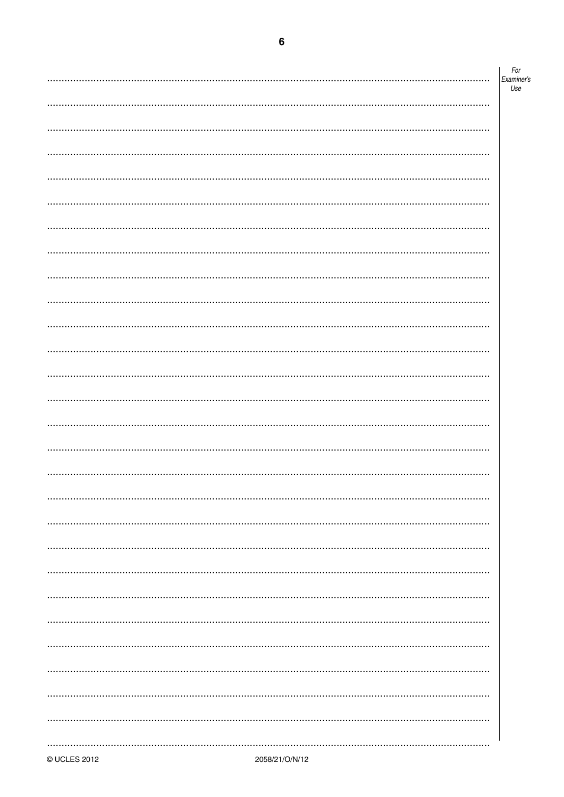| For        |  |
|------------|--|
| Examiner's |  |
| Use        |  |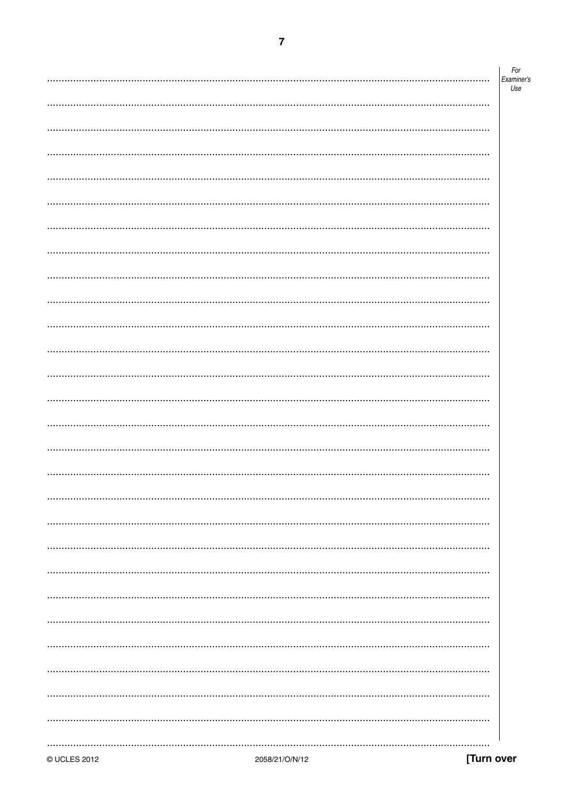|            | For |
|------------|-----|
| Examiner's |     |
|            | Use |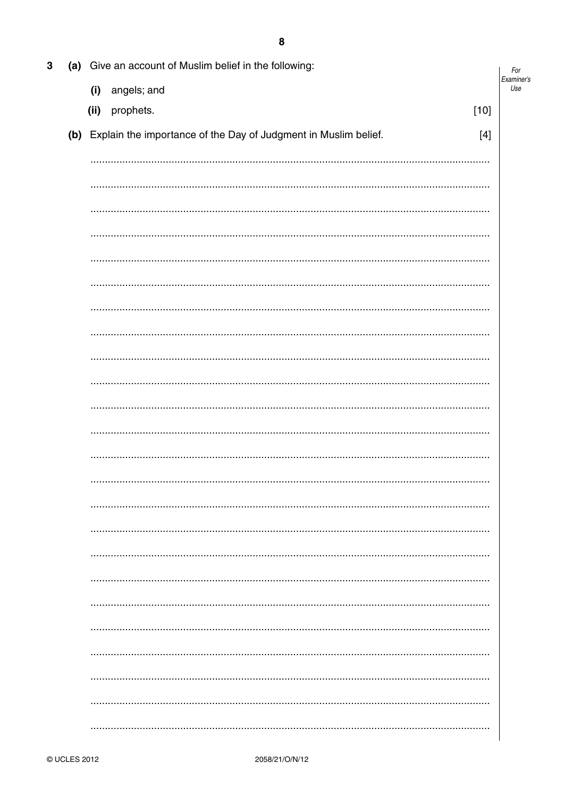| (a) Give an account of Muslim belief in the following: |                                                                              |                   |
|--------------------------------------------------------|------------------------------------------------------------------------------|-------------------|
| (i)                                                    | angels; and                                                                  | Examiner's<br>Use |
|                                                        | (ii) prophets.<br>$[10]$                                                     |                   |
|                                                        | (b) Explain the importance of the Day of Judgment in Muslim belief.<br>$[4]$ |                   |
|                                                        |                                                                              |                   |
|                                                        |                                                                              |                   |
|                                                        |                                                                              |                   |
|                                                        |                                                                              |                   |
|                                                        |                                                                              |                   |
|                                                        |                                                                              |                   |
|                                                        |                                                                              |                   |
|                                                        |                                                                              |                   |
|                                                        |                                                                              |                   |
|                                                        |                                                                              |                   |
|                                                        |                                                                              |                   |
|                                                        |                                                                              |                   |
|                                                        |                                                                              |                   |
|                                                        |                                                                              |                   |
|                                                        |                                                                              |                   |
|                                                        |                                                                              |                   |
|                                                        |                                                                              |                   |
|                                                        |                                                                              |                   |
|                                                        |                                                                              |                   |
|                                                        |                                                                              |                   |
|                                                        |                                                                              |                   |
|                                                        |                                                                              |                   |
|                                                        |                                                                              |                   |
|                                                        |                                                                              |                   |
|                                                        |                                                                              |                   |
|                                                        |                                                                              |                   |
|                                                        |                                                                              |                   |

 $\mathbf{3}$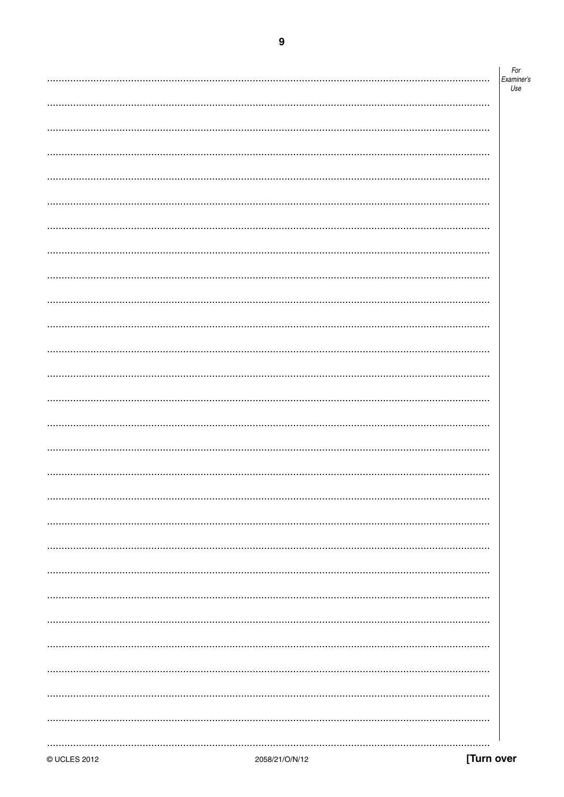| For        |
|------------|
| Examiner's |
| Use        |

 $\boldsymbol{9}$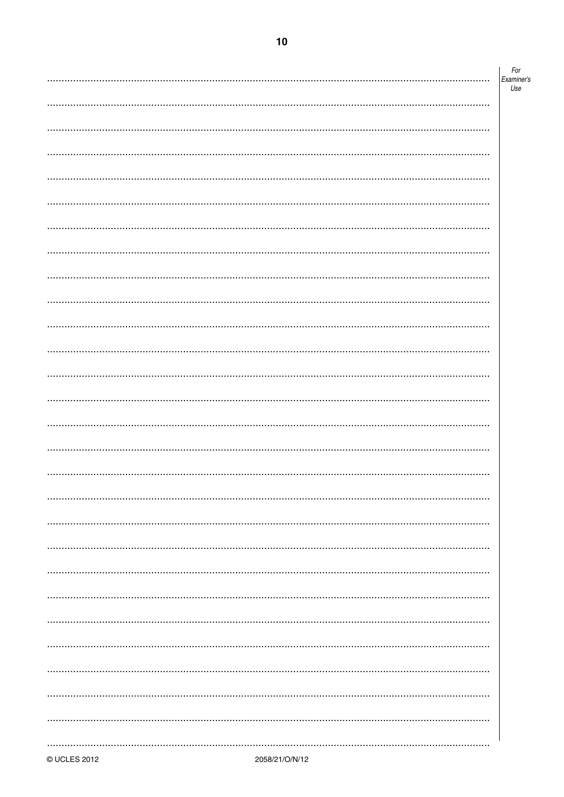| For        |  |
|------------|--|
| Examiner's |  |
| Use        |  |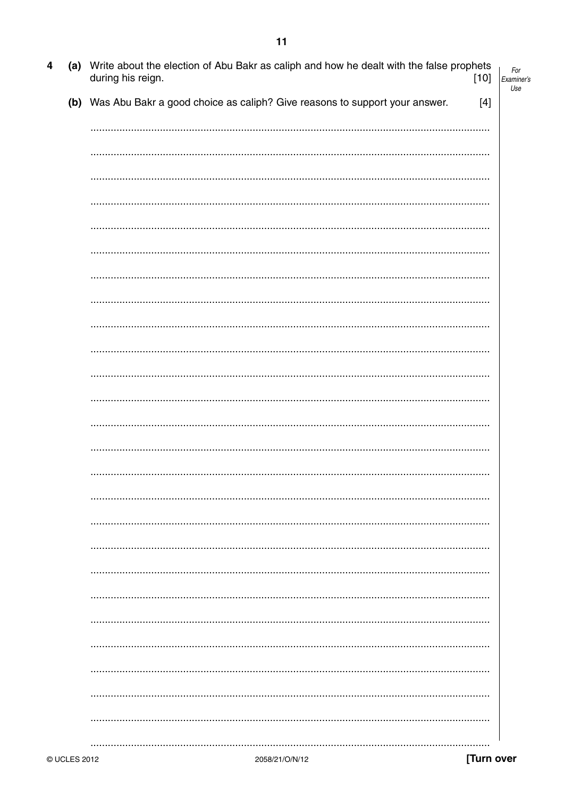| 4 | (a) Write about the election of Abu Bakr as caliph and how he dealt with the false prophets<br>during his reign.<br>$[10]$ | For<br>Examiner's<br>Use |
|---|----------------------------------------------------------------------------------------------------------------------------|--------------------------|
|   | (b) Was Abu Bakr a good choice as caliph? Give reasons to support your answer.<br>$[4]$                                    |                          |
|   |                                                                                                                            |                          |
|   |                                                                                                                            |                          |
|   |                                                                                                                            |                          |
|   |                                                                                                                            |                          |
|   |                                                                                                                            |                          |
|   |                                                                                                                            |                          |
|   |                                                                                                                            |                          |
|   |                                                                                                                            |                          |
|   |                                                                                                                            |                          |
|   |                                                                                                                            |                          |
|   |                                                                                                                            |                          |
|   |                                                                                                                            |                          |
|   |                                                                                                                            |                          |
|   |                                                                                                                            |                          |
|   |                                                                                                                            |                          |
|   |                                                                                                                            |                          |
|   |                                                                                                                            |                          |
|   |                                                                                                                            |                          |
|   |                                                                                                                            |                          |
|   |                                                                                                                            |                          |
|   |                                                                                                                            |                          |
|   |                                                                                                                            |                          |
|   |                                                                                                                            |                          |
|   |                                                                                                                            |                          |
|   |                                                                                                                            |                          |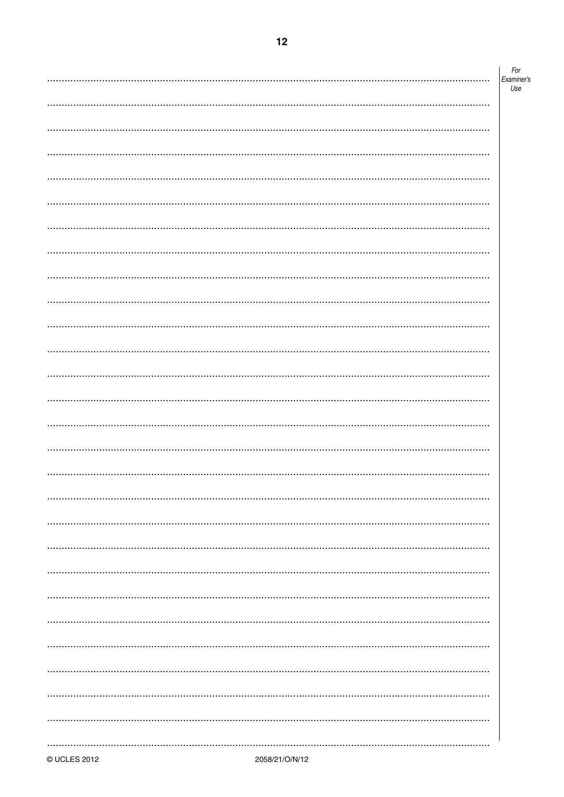| For        |  |
|------------|--|
| Examiner's |  |
| Use        |  |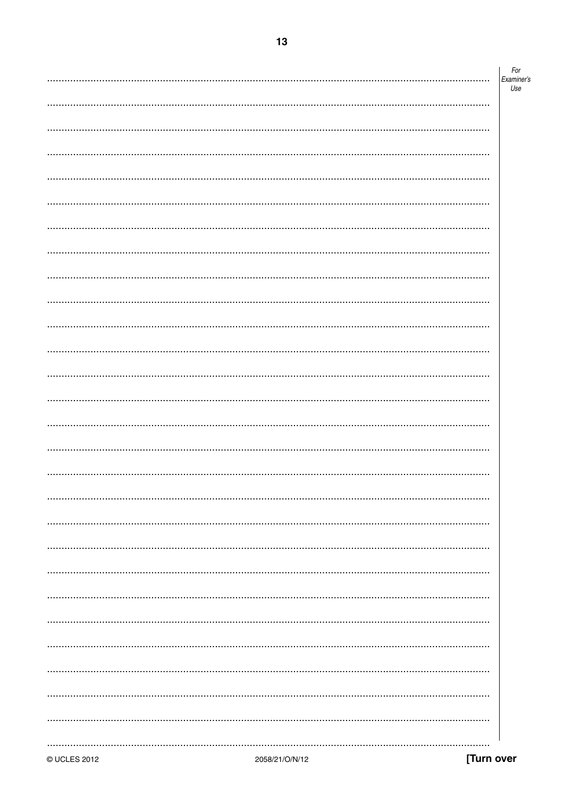| For        |  |
|------------|--|
| Examiner's |  |
| Use        |  |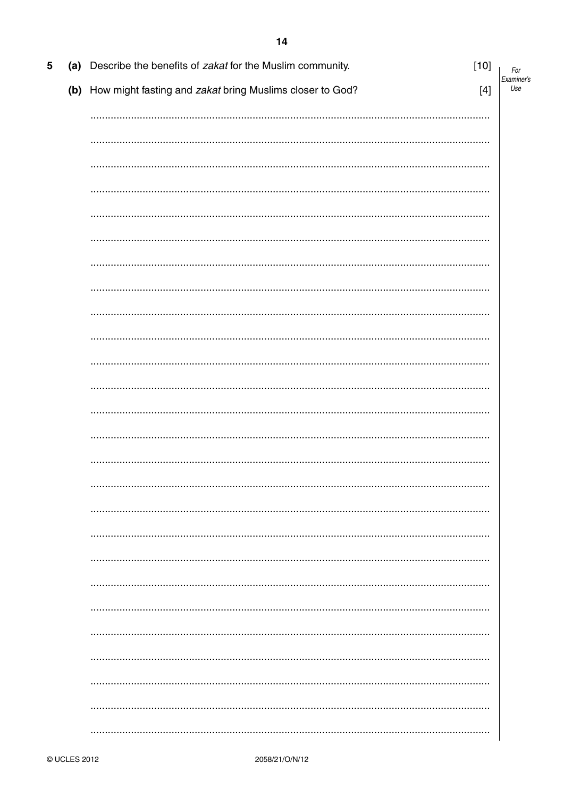| ${\bf 5}$ | (a) Describe the benefits of zakat for the Muslim community. | $[10]$ | For               |
|-----------|--------------------------------------------------------------|--------|-------------------|
|           | (b) How might fasting and zakat bring Muslims closer to God? | $[4]$  | Examiner's<br>Use |
|           |                                                              |        |                   |
|           |                                                              |        |                   |
|           |                                                              |        |                   |
|           |                                                              |        |                   |
|           |                                                              |        |                   |
|           |                                                              |        |                   |
|           |                                                              |        |                   |
|           |                                                              |        |                   |
|           |                                                              |        |                   |
|           |                                                              |        |                   |
|           |                                                              |        |                   |
|           |                                                              |        |                   |
|           |                                                              |        |                   |
|           |                                                              |        |                   |
|           |                                                              |        |                   |
|           | .                                                            |        |                   |
|           | .                                                            |        |                   |
|           |                                                              |        |                   |
|           |                                                              |        |                   |
|           | $\cdots$                                                     |        |                   |
|           |                                                              |        |                   |
|           |                                                              |        |                   |
|           |                                                              | .      |                   |
|           |                                                              |        |                   |
|           | <br>                                                         |        |                   |
|           |                                                              |        |                   |

2058/21/O/N/12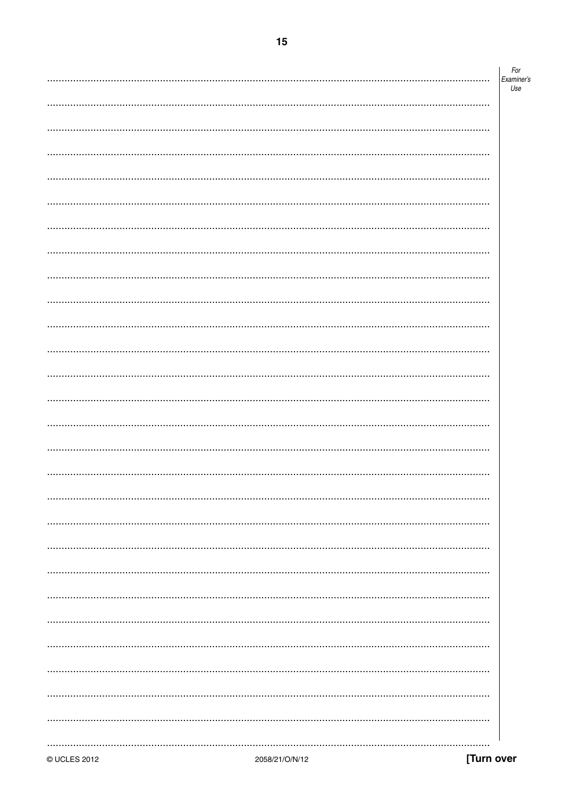| For        |
|------------|
| Examiner's |
| Use        |